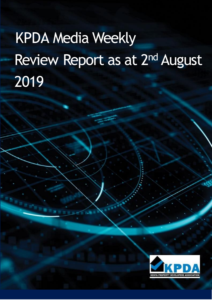# KPDA Media Weekly Review Report as at 2<sup>nd</sup> August 2019

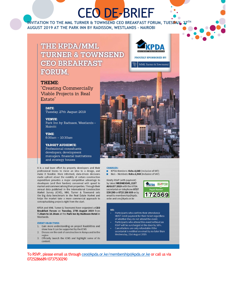## **CEO DE-BRIEF**

 $27<sup>TH</sup>$ INVITATION TO THE MML TURNER & TOWNSEND CEO BREAKFAST FORUM, TUESDAY AUGUST 2019 AT THE PARK INN BY RADISSON, WESTLANDS - NAIROBI

### THE KPDA/MML **TURNER & TOWNSEND CEO BREAKFAST FORUM.**

#### THEME:

"Creating Commercially Viable Projects in Real Estate"

#### **DATE:**

Tuesday, 27th August 2019

#### **VENUE:**

Park Inn by Radisson, Westlands -Nairobi

**TIME:** 8.00am - 10.30am

#### **TARGET AUDIENCE:**

Professional consultants, developers, development managers, financial institutions and strategy houses

It is a real team effort by property developers and their professional teams to move an idea to a design, and make it feasible. More informed, data-driven decisions made upfront about the viability of certain construction expenditure provides a major competitive advantage to developers (and their funders) concerned with speed to market and commercialising their properties. Through their annual data published in the International Construction Market Survey (ICMS), MML Turner & Townsend sets the big data benchmark in the Real Estate Market and helps the market take a more commercial approach to conceptualizing projects right from the start.

KPDA and MML Turner & Townsend have organized a CEO Breakfast Forum on Tuesday, 27th August 2019 from 7.30am to 10.30am at the Park Inn by Radisson Hotel in Westlands.

#### **EVENT OBJECTIVES**

- 1. Gain more understanding on project feasibilities and show how it can be supported by the ICMS
- $2.$ Discuss on the cost of construction in Kenya and in the region
- Officially launch the ICMS and highlight some of its  $3.$ content.







#### **CHARGES:**

KPDA Members: Kshs.4,640 (Inclusive of VAT) Non - Members: Kshs.6,960 (Inclusive of VAT) ×

Kindly RSVP (with payment) by latest WEDNESDAY, 21ST AUGUST 2019 with the KPDA secretariat on telephone 0737 530 290 or 0725 286 689 or by email to membership@kpda. or.ke and ceo@kpda.or.ke



#### NB:

- Participants who confirm their attendance MUST remit payment for their ticket regardless of whether they do not attend the event.
- Participants who attend this event without an RSVP will be surcharged at the door by 50%. Cancellations are only refundable if the
- secretariat is notified on email by no later than Wednesday, 21st August 2019.

To RSVP, please email us through ceo@kpda.or.ke/membership@kpda.or.ke or call us via 0725286689/0737530290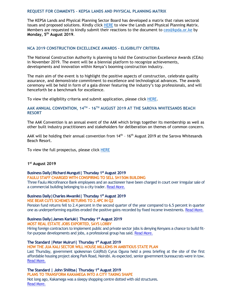#### **REQUEST FOR COMMENTS – KEPSA LANDS AND PHYSICAL PLANNING MATRIX**

The KEPSA Lands and Physical Planning Sector Board has developed a matrix that raises sectoral issues and proposed solutions. Kindly click [HERE](file:///C:/Desktop/LANDS%20AND%20PHYSICAL%20PLANNING%20MATRIX.docx) to view the Lands and Physical Planning Matrix. Members are requested to kindly submit their reactions to the document to [ceo@kpda.or.ke](mailto:ceo@kpda.or.ke) by **Monday, 5 th August 2019**.

#### **NCA 2019 CONSTRUCTION EXCELLENCE AWARDS - ELIGIBILITY CRITERIA**

The National Construction Authority is planning to hold the Construction Excellence Awards (CEAs) in November 2019. The event will be a biennial platform to recognize achievements, developments and innovation within Kenya's booming construction industry.

The main aim of the event is to highlight the positive aspects of construction, celebrate quality assurance, and demonstrate commitment to excellence and technological advances. The awards ceremony will be held in form of a gala dinner featuring the industry's top professionals, and will henceforth be a benchmark for excellence.

To view the eligibility criteria and submit application, please click [HERE.](file:///C:/Desktop/Construction%20Excellence%20Awards%202019%20Eligibility%20Criteria.pdf)

#### **AAK ANNUAL CONVENTION, 14TH – 16TH AUGUST 2019 AT THE SAROVA WHITESANDS BEACH RESORT**

The AAK Convention is an annual event of the AAK which brings together its membership as well as other built industry practitioners and stakeholders for deliberation on themes of common concern.

AAK will be holding their annual convention from 14<sup>th</sup> - 16<sup>th</sup> August 2019 at the Sarova Whitesands Beach Resort.

To view the full prospectus, please click **HERE** 

#### **1 st August 2019**

#### **Business Daily|Richard Munguti| Thursday 1 st August 2019 FAULU STAFF CHARGED WITH CONSPIRING TO SELL SH150M BUILDING**

Three Faulu Microfinance Bank employees and an auctioneer have been charged in court over irregular sale of a commercial building belonging to a city trader. [Read More.](https://www.businessdailyafrica.com/corporate/companies/Faulu-staff-charged-with-conspiring-to-sell-Sh150m-building/4003102-5219806-x5qbk2z/index.html)

#### **Business Daily|Charles Mwaniki| Thursday 1 st August 2019**

#### **NSE BEAR CUTS SCHEMES RETURNS TO 2.4PC IN Q2**

Pension fund returns fell to 2.4 percent in the second quarter of the year compared to 6.5 percent in quarter one as underperforming equities eroded the positive gains recorded by fixed income investments. [Read More.](https://www.businessdailyafrica.com/markets/capital/NSE-bear-cuts-schemes-returns-to-2-4pc-in-Q2/4259442-5219654-blw5cbz/index.html)

#### **Business Daily|James Kariuki| Thursday 1 st August 2019**

#### **MOST REAL ESTATE JOBS EXPORTED, SAYS LOBBY**

Hiring foreign contractors to implement public and private sector jobs is denying Kenyans a chance to build fitfor-purpose developments and jobs, a professional group has said. [Read More.](https://www.businessdailyafrica.com/markets/marketnews/Most-real-estate-jobs-exported/3815534-5219664-v9b5acz/index.html)

#### **The Standard |Peter Muiruri| Thursday 1 st August 2019**

#### **HOW THE JUA KALI SECTOR WILL HOUSE MILLIONS IN AMBITIOUS STATE PLAN**

Last Thursday, government spokesman Col(Rtd) Cyrus Oguna held a press briefing at the site of the first affordable housing project along Park Road, Nairobi. As expected, senior government bureaucrats were in tow. [Read More.](https://www.standardmedia.co.ke/business/article/2001336322/how-the-jua-kali-sector-will-house-millions)

**The Standard | John Shilitsa| Thursday 1 st August 2019 PLANS TO TRANSFORM KAKAMEGA INTO A CITY TAKING SHAPE** Not long ago, Kakamega was a sleepy shopping centre dotted with old structures. [Read More.](https://www.standardmedia.co.ke/business/article/2001336319/plans-to-transform-kakamega-into-a-city-taking-shape)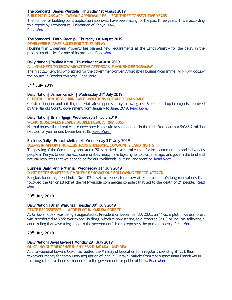#### **The Standard |James Wanzala| Thursday 1st August 2019**

#### **BUILDING PLANS APPLICATIONS APPROVALS FELL FOR THREE CONSECUTIVE YEARS**

The number of building plans application approvals have been falling for the past three years. This is according to a report by Architectural Association of Kenya (AAK). [Read More.](https://www.standardmedia.co.ke/business/article/2001336312/building-approvals-fall-three-years-in-a-row-in-nairobi)

#### **The Standard |Faith Karanja| Thursday 1st August 2019**

**DEVELOPER BLAMES RULES FOR TITLES DELAY**

Housing firm Erdemann Property has blamed new requirements at the Lands Ministry for the delay in the processing of titles for one of its projects. [Read More.](https://www.standardmedia.co.ke/business/article/2001336272/developer-blames-rules-for-titles-delay)

#### **Daily Nation |Pauline Kairu| Thursday 1st August 2019**

**ALL YOU NEED TO KNOW ABOUT THE AFFORDABLE HOUSING PROGRAMME** The first 228 Kenyans who signed for the government-driven Affordable Housing Programme (AHP) will occupy the houses in October this year. [Read More.](https://www.nation.co.ke/lifestyle/dn2/The-Affordable-Housing-Programme/957860-5218010-10mxt0oz/index.html)

#### **31st July 2019**

#### **Daily Nation| James Kariuki | Wednesday 31st July 2019**

**CONSTRUCTION JOBS SHRINK AS DEMOLITIONS CUT APPROVALS 34PC** Construction jobs and building material sales dipped sharply following a 34.6 per cent drop in projects approved by the Nairobi County government from January to June, 2019. [Read More.](https://www.nation.co.ke/business/Construction-jobs-shrink/996-5218512-jxk6rd/index.html)

#### **Daily Nation| Brian Ngugi| Wednesday 31st July 2019**

**WEAK HOUSE SALES NEARLY DOUBLE HOME AFRIKA LOSS**

Nairobi bourse-listed real estate developer Home Afrika sunk deeper in the red after posting a Sh346.2 million net loss for year ended December 2018. [Read More.](https://www.nation.co.ke/business/Weak-house-sales-nearly-double-Home-Afrika-loss/996-5218496-317exkz/index.html)

#### **Business Daily| Francis Meitamei| Wednesday 31st July 2019**

#### **DELAYS IN APPOINTING REGISTRARS UNDERMINE COMMUNITY LAND RIGHTS**

The passing of the Community Land Act in 2016 marked a great milestone for local communities and indigenous people in Kenya. Under the Act, communities finally have legal rights to own, manage, and govern the land and natural resources that we depend on for our livelihoods, culture, and identity. [Read More.](https://www.businessdailyafrica.com/analysis/columnists/Delays-in-appointing-registrars-/4259356-5218274-ki3xfbz/index.html)

#### **Business Daily|Annie Njanja| Wednesday 31st July 2019**

#### **DUSIT REOPENS AFTER SIX MONTHS RENOVATIONS FOLLOWING TERROR ATTACK**

Bangkok-based high-end hotel Dusit D2 is set to reopen tomorrow after a six month's long renovations that followed the terror attack at the 14 Riverside commercial complex that led to the death of 21 people. [Read](https://www.businessdailyafrica.com/news/Dusit-reopens-after-six-months-renovations/539546-5217528-htrqyaz/index.html)  [More.](https://www.businessdailyafrica.com/news/Dusit-reopens-after-six-months-renovations/539546-5217528-htrqyaz/index.html)

**30th July 2019**

#### **Daily Nation |Brian Wasuna| Tuesday 30th July 2019**

#### **STATE REPOSSESSES 11-ACRE PLOT IN KARURA FOREST**

As Mr Mwai Kibaki was being inaugurated as President on December 30, 2002, an 11-acre plot in Karura forest was transferred to York Worldwide Holdings, which is now staring at a reported Sh1.3 billion loss following a court ruling that gave a legal nod to the government's bid to repossess the prime property. [Read More.](https://www.nation.co.ke/news/State-repossesses-11-acre-plot-in-Karura-forest/1056-5215098-114e6wsz/index.html)

#### **29th July 2019**

#### **Daily Nation|David Mwere| Monday 29th July 2019**

**OUKO: NO DUE DILIGENCE IN SH1.5BN RUARAKA LAND DEAL**

Auditor-General Edward Ouko has faulted the Ministry of Education for irregularly spending Sh1.5 billion taxpayers' money for compulsory acquisition of land in Ruaraka, Nairobi from city businessman Francis Mburu that ought to have been surrendered to the government for public utilities. [Read More.](https://www.nation.co.ke/news/Ouko-says-Ruaraka-land-payment-irregular/1056-5214714-n6o9ex/index.html)